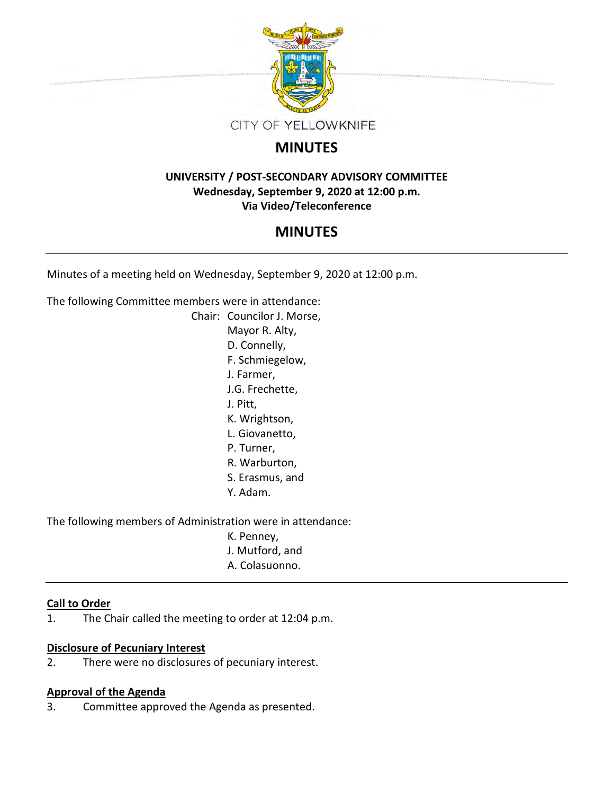

## **MINUTES**

### **UNIVERSITY / POST-SECONDARY ADVISORY COMMITTEE Wednesday, September 9, 2020 at 12:00 p.m. Via Video/Teleconference**

## **MINUTES**

Minutes of a meeting held on Wednesday, September 9, 2020 at 12:00 p.m.

The following Committee members were in attendance:

Chair: Councilor J. Morse, Mayor R. Alty, D. Connelly, F. Schmiegelow, J. Farmer, J.G. Frechette, J. Pitt, K. Wrightson, L. Giovanetto, P. Turner, R. Warburton, S. Erasmus, and Y. Adam.

The following members of Administration were in attendance:

K. Penney, J. Mutford, and A. Colasuonno.

# **Call to Order**

1. The Chair called the meeting to order at 12:04 p.m.

### **Disclosure of Pecuniary Interest**

2. There were no disclosures of pecuniary interest.

### **Approval of the Agenda**

3. Committee approved the Agenda as presented.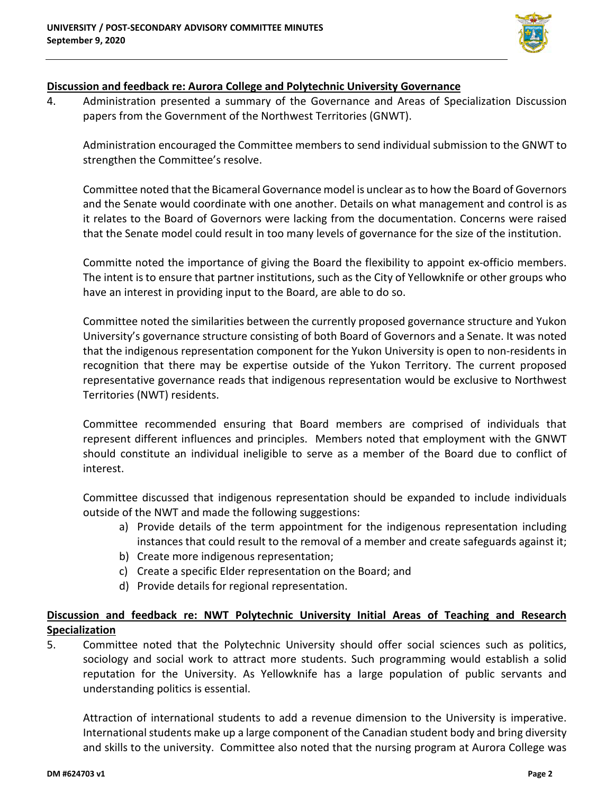

#### **Discussion and feedback re: Aurora College and Polytechnic University Governance**

4. Administration presented a summary of the Governance and Areas of Specialization Discussion papers from the Government of the Northwest Territories (GNWT).

Administration encouraged the Committee members to send individual submission to the GNWT to strengthen the Committee's resolve.

Committee noted that the Bicameral Governance model is unclear as to how the Board of Governors and the Senate would coordinate with one another. Details on what management and control is as it relates to the Board of Governors were lacking from the documentation. Concerns were raised that the Senate model could result in too many levels of governance for the size of the institution.

Committe noted the importance of giving the Board the flexibility to appoint ex-officio members. The intent is to ensure that partner institutions, such as the City of Yellowknife or other groups who have an interest in providing input to the Board, are able to do so.

Committee noted the similarities between the currently proposed governance structure and Yukon University's governance structure consisting of both Board of Governors and a Senate. It was noted that the indigenous representation component for the Yukon University is open to non-residents in recognition that there may be expertise outside of the Yukon Territory. The current proposed representative governance reads that indigenous representation would be exclusive to Northwest Territories (NWT) residents.

Committee recommended ensuring that Board members are comprised of individuals that represent different influences and principles. Members noted that employment with the GNWT should constitute an individual ineligible to serve as a member of the Board due to conflict of interest.

Committee discussed that indigenous representation should be expanded to include individuals outside of the NWT and made the following suggestions:

- a) Provide details of the term appointment for the indigenous representation including instances that could result to the removal of a member and create safeguards against it;
- b) Create more indigenous representation;
- c) Create a specific Elder representation on the Board; and
- d) Provide details for regional representation.

### **Discussion and feedback re: NWT Polytechnic University Initial Areas of Teaching and Research Specialization**

5. Committee noted that the Polytechnic University should offer social sciences such as politics, sociology and social work to attract more students. Such programming would establish a solid reputation for the University. As Yellowknife has a large population of public servants and understanding politics is essential.

Attraction of international students to add a revenue dimension to the University is imperative. International students make up a large component of the Canadian student body and bring diversity and skills to the university. Committee also noted that the nursing program at Aurora College was